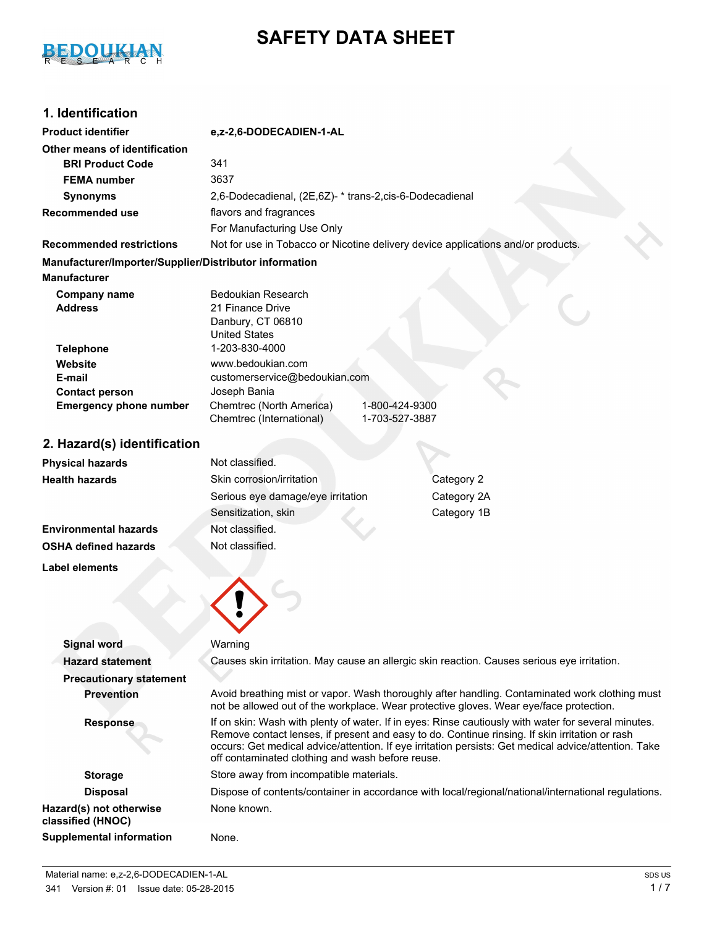# BEDOUKIAN

# **SAFETY DATA SHEET**

# **1. Identification**

| <b>Product identifier</b>                              | e,z-2,6-DODECADIEN-1-AL                                                                                                                                                                                |  |
|--------------------------------------------------------|--------------------------------------------------------------------------------------------------------------------------------------------------------------------------------------------------------|--|
| Other means of identification                          |                                                                                                                                                                                                        |  |
| <b>BRI Product Code</b>                                | 341                                                                                                                                                                                                    |  |
| <b>FEMA</b> number                                     | 3637                                                                                                                                                                                                   |  |
| <b>Synonyms</b>                                        | 2,6-Dodecadienal, (2E,6Z)- * trans-2, cis-6-Dodecadienal                                                                                                                                               |  |
| <b>Recommended use</b>                                 | flavors and fragrances                                                                                                                                                                                 |  |
|                                                        | For Manufacturing Use Only                                                                                                                                                                             |  |
| <b>Recommended restrictions</b>                        | Not for use in Tobacco or Nicotine delivery device applications and/or products.                                                                                                                       |  |
| Manufacturer/Importer/Supplier/Distributor information |                                                                                                                                                                                                        |  |
| <b>Manufacturer</b>                                    |                                                                                                                                                                                                        |  |
| <b>Company name</b>                                    | <b>Bedoukian Research</b>                                                                                                                                                                              |  |
| <b>Address</b>                                         | 21 Finance Drive                                                                                                                                                                                       |  |
|                                                        | Danbury, CT 06810                                                                                                                                                                                      |  |
| <b>Telephone</b>                                       | <b>United States</b><br>1-203-830-4000                                                                                                                                                                 |  |
| Website                                                | www.bedoukian.com                                                                                                                                                                                      |  |
| E-mail                                                 | customerservice@bedoukian.com                                                                                                                                                                          |  |
| <b>Contact person</b>                                  | Joseph Bania                                                                                                                                                                                           |  |
| <b>Emergency phone number</b>                          | Chemtrec (North America)<br>1-800-424-9300                                                                                                                                                             |  |
|                                                        | 1-703-527-3887<br>Chemtrec (International)                                                                                                                                                             |  |
| 2. Hazard(s) identification                            |                                                                                                                                                                                                        |  |
| <b>Physical hazards</b>                                | Not classified.                                                                                                                                                                                        |  |
| <b>Health hazards</b>                                  | Skin corrosion/irritation<br>Category 2                                                                                                                                                                |  |
|                                                        | Serious eye damage/eye irritation<br>Category 2A                                                                                                                                                       |  |
|                                                        | Sensitization, skin<br>Category 1B                                                                                                                                                                     |  |
| <b>Environmental hazards</b>                           | Not classified.                                                                                                                                                                                        |  |
| <b>OSHA defined hazards</b>                            | Not classified.                                                                                                                                                                                        |  |
|                                                        |                                                                                                                                                                                                        |  |
| <b>Label elements</b>                                  |                                                                                                                                                                                                        |  |
|                                                        |                                                                                                                                                                                                        |  |
|                                                        |                                                                                                                                                                                                        |  |
|                                                        |                                                                                                                                                                                                        |  |
| <b>Signal word</b>                                     | Warning                                                                                                                                                                                                |  |
| <b>Hazard statement</b>                                | Causes skin irritation. May cause an allergic skin reaction. Causes serious eye irritation.                                                                                                            |  |
| <b>Precautionary statement</b>                         |                                                                                                                                                                                                        |  |
| <b>Prevention</b>                                      | Avoid breathing mist or vapor. Wash thoroughly after handling. Contaminated work clothing must                                                                                                         |  |
|                                                        | not be allowed out of the workplace. Wear protective gloves. Wear eye/face protection.                                                                                                                 |  |
| <b>Response</b>                                        | If on skin: Wash with plenty of water. If in eyes: Rinse cautiously with water for several minutes.                                                                                                    |  |
|                                                        | Remove contact lenses, if present and easy to do. Continue rinsing. If skin irritation or rash<br>occurs: Get medical advice/attention. If eye irritation persists: Get medical advice/attention. Take |  |
|                                                        | off contaminated clothing and wash before reuse.                                                                                                                                                       |  |
| <b>Storage</b>                                         | Store away from incompatible materials.                                                                                                                                                                |  |
| <b>Disposal</b>                                        | Dispose of contents/container in accordance with local/regional/national/international regulations.                                                                                                    |  |
| Hazard(s) not otherwise<br>classified (HNOC)           | None known.                                                                                                                                                                                            |  |

**Supplemental information** None.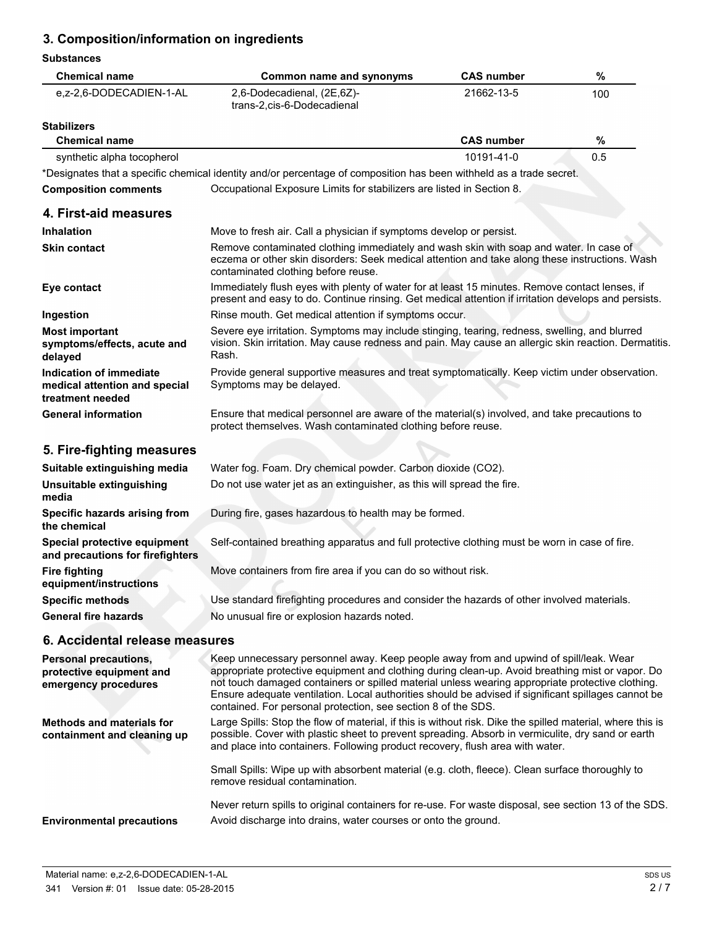# **3. Composition/information on ingredients**

#### **Substances**

| <b>Chemical name</b>                                                             | <b>Common name and synonyms</b>                                                                                                                                                                                                                                                                                                                                                                                                                                       | <b>CAS number</b> | $\%$ |
|----------------------------------------------------------------------------------|-----------------------------------------------------------------------------------------------------------------------------------------------------------------------------------------------------------------------------------------------------------------------------------------------------------------------------------------------------------------------------------------------------------------------------------------------------------------------|-------------------|------|
| e,z-2,6-DODECADIEN-1-AL                                                          | 2,6-Dodecadienal, (2E,6Z)-<br>trans-2, cis-6-Dodecadienal                                                                                                                                                                                                                                                                                                                                                                                                             | 21662-13-5        | 100  |
| <b>Stabilizers</b>                                                               |                                                                                                                                                                                                                                                                                                                                                                                                                                                                       |                   |      |
| <b>Chemical name</b>                                                             |                                                                                                                                                                                                                                                                                                                                                                                                                                                                       | <b>CAS number</b> | $\%$ |
| synthetic alpha tocopherol                                                       |                                                                                                                                                                                                                                                                                                                                                                                                                                                                       | 10191-41-0        | 0.5  |
|                                                                                  | *Designates that a specific chemical identity and/or percentage of composition has been withheld as a trade secret.                                                                                                                                                                                                                                                                                                                                                   |                   |      |
| <b>Composition comments</b>                                                      | Occupational Exposure Limits for stabilizers are listed in Section 8.                                                                                                                                                                                                                                                                                                                                                                                                 |                   |      |
| 4. First-aid measures                                                            |                                                                                                                                                                                                                                                                                                                                                                                                                                                                       |                   |      |
| Inhalation                                                                       | Move to fresh air. Call a physician if symptoms develop or persist.                                                                                                                                                                                                                                                                                                                                                                                                   |                   |      |
| <b>Skin contact</b>                                                              | Remove contaminated clothing immediately and wash skin with soap and water. In case of<br>eczema or other skin disorders: Seek medical attention and take along these instructions. Wash<br>contaminated clothing before reuse.                                                                                                                                                                                                                                       |                   |      |
| Eye contact                                                                      | Immediately flush eyes with plenty of water for at least 15 minutes. Remove contact lenses, if<br>present and easy to do. Continue rinsing. Get medical attention if irritation develops and persists.                                                                                                                                                                                                                                                                |                   |      |
| Ingestion                                                                        | Rinse mouth. Get medical attention if symptoms occur.                                                                                                                                                                                                                                                                                                                                                                                                                 |                   |      |
| <b>Most important</b><br>symptoms/effects, acute and<br>delayed                  | Severe eye irritation. Symptoms may include stinging, tearing, redness, swelling, and blurred<br>vision. Skin irritation. May cause redness and pain. May cause an allergic skin reaction. Dermatitis.<br>Rash.                                                                                                                                                                                                                                                       |                   |      |
| Indication of immediate<br>medical attention and special<br>treatment needed     | Provide general supportive measures and treat symptomatically. Keep victim under observation.<br>Symptoms may be delayed.                                                                                                                                                                                                                                                                                                                                             |                   |      |
| <b>General information</b>                                                       | Ensure that medical personnel are aware of the material(s) involved, and take precautions to<br>protect themselves. Wash contaminated clothing before reuse.                                                                                                                                                                                                                                                                                                          |                   |      |
| 5. Fire-fighting measures                                                        |                                                                                                                                                                                                                                                                                                                                                                                                                                                                       |                   |      |
| Suitable extinguishing media                                                     | Water fog. Foam. Dry chemical powder. Carbon dioxide (CO2).                                                                                                                                                                                                                                                                                                                                                                                                           |                   |      |
| Unsuitable extinguishing<br>media                                                | Do not use water jet as an extinguisher, as this will spread the fire.                                                                                                                                                                                                                                                                                                                                                                                                |                   |      |
| Specific hazards arising from<br>the chemical                                    | During fire, gases hazardous to health may be formed.                                                                                                                                                                                                                                                                                                                                                                                                                 |                   |      |
| Special protective equipment<br>and precautions for firefighters                 | Self-contained breathing apparatus and full protective clothing must be worn in case of fire.                                                                                                                                                                                                                                                                                                                                                                         |                   |      |
| <b>Fire fighting</b><br>equipment/instructions                                   | Move containers from fire area if you can do so without risk.                                                                                                                                                                                                                                                                                                                                                                                                         |                   |      |
| <b>Specific methods</b>                                                          | Use standard firefighting procedures and consider the hazards of other involved materials.                                                                                                                                                                                                                                                                                                                                                                            |                   |      |
| <b>General fire hazards</b>                                                      | No unusual fire or explosion hazards noted.                                                                                                                                                                                                                                                                                                                                                                                                                           |                   |      |
| 6. Accidental release measures                                                   |                                                                                                                                                                                                                                                                                                                                                                                                                                                                       |                   |      |
| <b>Personal precautions,</b><br>protective equipment and<br>emergency procedures | Keep unnecessary personnel away. Keep people away from and upwind of spill/leak. Wear<br>appropriate protective equipment and clothing during clean-up. Avoid breathing mist or vapor. Do<br>not touch damaged containers or spilled material unless wearing appropriate protective clothing.<br>Ensure adequate ventilation. Local authorities should be advised if significant spillages cannot be<br>contained. For personal protection, see section 8 of the SDS. |                   |      |
| <b>Methods and materials for</b><br>containment and cleaning up                  | Large Spills: Stop the flow of material, if this is without risk. Dike the spilled material, where this is<br>possible. Cover with plastic sheet to prevent spreading. Absorb in vermiculite, dry sand or earth<br>and place into containers. Following product recovery, flush area with water.                                                                                                                                                                      |                   |      |
|                                                                                  | Small Spills: Wipe up with absorbent material (e.g. cloth, fleece). Clean surface thoroughly to<br>remove residual contamination.                                                                                                                                                                                                                                                                                                                                     |                   |      |
|                                                                                  | Never return spills to original containers for re-use. For waste disposal, see section 13 of the SDS.                                                                                                                                                                                                                                                                                                                                                                 |                   |      |
| <b>Environmental precautions</b>                                                 | Avoid discharge into drains, water courses or onto the ground.                                                                                                                                                                                                                                                                                                                                                                                                        |                   |      |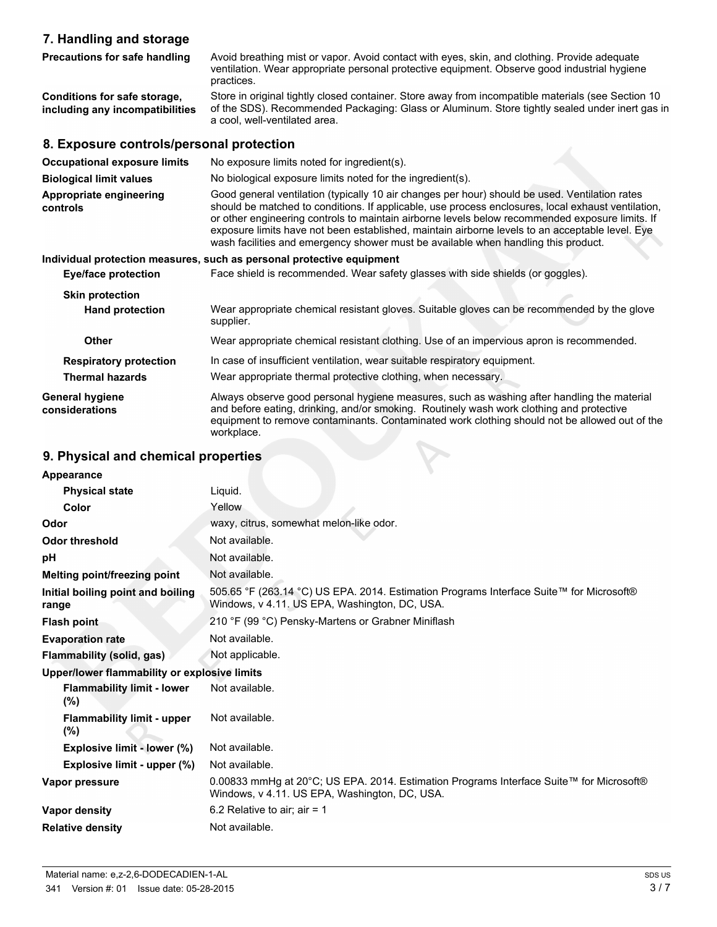# **7. Handling and storage**

| <b>Precautions for safe handling</b>                            | Avoid breathing mist or vapor. Avoid contact with eyes, skin, and clothing. Provide adequate<br>ventilation. Wear appropriate personal protective equipment. Observe good industrial hygiene<br>practices.                                                                                                                                                                                                                                                                                       |
|-----------------------------------------------------------------|--------------------------------------------------------------------------------------------------------------------------------------------------------------------------------------------------------------------------------------------------------------------------------------------------------------------------------------------------------------------------------------------------------------------------------------------------------------------------------------------------|
| Conditions for safe storage,<br>including any incompatibilities | Store in original tightly closed container. Store away from incompatible materials (see Section 10<br>of the SDS). Recommended Packaging: Glass or Aluminum. Store tightly sealed under inert gas in<br>a cool, well-ventilated area.                                                                                                                                                                                                                                                            |
| 8. Exposure controls/personal protection                        |                                                                                                                                                                                                                                                                                                                                                                                                                                                                                                  |
| <b>Occupational exposure limits</b>                             | No exposure limits noted for ingredient(s).                                                                                                                                                                                                                                                                                                                                                                                                                                                      |
| <b>Biological limit values</b>                                  | No biological exposure limits noted for the ingredient(s).                                                                                                                                                                                                                                                                                                                                                                                                                                       |
| Appropriate engineering<br>controls                             | Good general ventilation (typically 10 air changes per hour) should be used. Ventilation rates<br>should be matched to conditions. If applicable, use process enclosures, local exhaust ventilation,<br>or other engineering controls to maintain airborne levels below recommended exposure limits. If<br>exposure limits have not been established, maintain airborne levels to an acceptable level. Eye<br>wash facilities and emergency shower must be available when handling this product. |
|                                                                 | Individual protection measures, such as personal protective equipment                                                                                                                                                                                                                                                                                                                                                                                                                            |
| <b>Eye/face protection</b>                                      | Face shield is recommended. Wear safety glasses with side shields (or goggles).                                                                                                                                                                                                                                                                                                                                                                                                                  |
| <b>Skin protection</b>                                          |                                                                                                                                                                                                                                                                                                                                                                                                                                                                                                  |
| <b>Hand protection</b>                                          | Wear appropriate chemical resistant gloves. Suitable gloves can be recommended by the glove<br>supplier.                                                                                                                                                                                                                                                                                                                                                                                         |
| <b>Other</b>                                                    | Wear appropriate chemical resistant clothing. Use of an impervious apron is recommended.                                                                                                                                                                                                                                                                                                                                                                                                         |
| <b>Respiratory protection</b>                                   | In case of insufficient ventilation, wear suitable respiratory equipment.                                                                                                                                                                                                                                                                                                                                                                                                                        |
| <b>Thermal hazards</b>                                          | Wear appropriate thermal protective clothing, when necessary.                                                                                                                                                                                                                                                                                                                                                                                                                                    |
| <b>General hygiene</b><br>considerations                        | Always observe good personal hygiene measures, such as washing after handling the material<br>and before eating, drinking, and/or smoking. Routinely wash work clothing and protective<br>equipment to remove contaminants. Contaminated work clothing should not be allowed out of the<br>workplace.                                                                                                                                                                                            |
|                                                                 |                                                                                                                                                                                                                                                                                                                                                                                                                                                                                                  |

# **9. Physical and chemical properties**

| Appearance                                   |                                                                                                                                          |  |
|----------------------------------------------|------------------------------------------------------------------------------------------------------------------------------------------|--|
| <b>Physical state</b>                        | Liquid.                                                                                                                                  |  |
| Color                                        | Yellow                                                                                                                                   |  |
| Odor                                         | waxy, citrus, somewhat melon-like odor.                                                                                                  |  |
| <b>Odor threshold</b>                        | Not available.                                                                                                                           |  |
| рH                                           | Not available.                                                                                                                           |  |
| Melting point/freezing point                 | Not available.                                                                                                                           |  |
| Initial boiling point and boiling<br>range   | 505.65 °F (263.14 °C) US EPA. 2014. Estimation Programs Interface Suite™ for Microsoft®<br>Windows, v 4.11. US EPA, Washington, DC, USA. |  |
| <b>Flash point</b>                           | 210 °F (99 °C) Pensky-Martens or Grabner Miniflash                                                                                       |  |
| <b>Evaporation rate</b>                      | Not available.                                                                                                                           |  |
| Flammability (solid, gas)                    | Not applicable.                                                                                                                          |  |
| Upper/lower flammability or explosive limits |                                                                                                                                          |  |
| <b>Flammability limit - lower</b><br>$(\% )$ | Not available.                                                                                                                           |  |
| <b>Flammability limit - upper</b><br>$(\% )$ | Not available.                                                                                                                           |  |
| Explosive limit - lower (%)                  | Not available.                                                                                                                           |  |
| Explosive limit - upper (%)                  | Not available.                                                                                                                           |  |
| Vapor pressure                               | 0.00833 mmHg at 20°C; US EPA. 2014. Estimation Programs Interface Suite™ for Microsoft®<br>Windows, v 4.11. US EPA, Washington, DC, USA. |  |
| <b>Vapor density</b>                         | 6.2 Relative to air; air = 1                                                                                                             |  |
| <b>Relative density</b>                      | Not available.                                                                                                                           |  |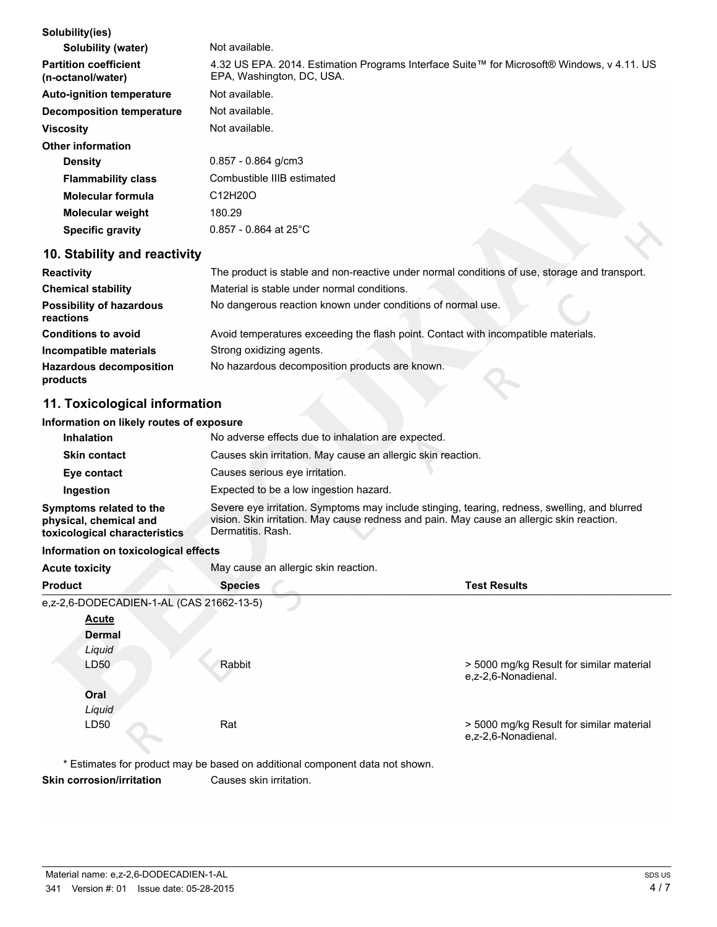| Solubility(ies)                                   |                                                                                                                         |
|---------------------------------------------------|-------------------------------------------------------------------------------------------------------------------------|
| Solubility (water)                                | Not available.                                                                                                          |
| <b>Partition coefficient</b><br>(n-octanol/water) | 4.32 US EPA. 2014. Estimation Programs Interface Suite™ for Microsoft® Windows, v 4.11. US<br>EPA, Washington, DC, USA. |
| <b>Auto-ignition temperature</b>                  | Not available.                                                                                                          |
| Decomposition temperature                         | Not available.                                                                                                          |
| <b>Viscosity</b>                                  | Not available.                                                                                                          |
| Other information                                 |                                                                                                                         |
| <b>Density</b>                                    | $0.857 - 0.864$ g/cm3                                                                                                   |
| <b>Flammability class</b>                         | Combustible IIIB estimated                                                                                              |
| Molecular formula                                 | C12H20O                                                                                                                 |
| <b>Molecular weight</b>                           | 180.29                                                                                                                  |
| Specific gravity                                  | $0.857 - 0.864$ at 25°C                                                                                                 |

# **10. Stability and reactivity**

| <b>Reactivity</b>                            | The product is stable and non-reactive under normal conditions of use, storage and transport. |
|----------------------------------------------|-----------------------------------------------------------------------------------------------|
| <b>Chemical stability</b>                    | Material is stable under normal conditions.                                                   |
| <b>Possibility of hazardous</b><br>reactions | No dangerous reaction known under conditions of normal use.                                   |
| <b>Conditions to avoid</b>                   | Avoid temperatures exceeding the flash point. Contact with incompatible materials.            |
| Incompatible materials                       | Strong oxidizing agents.                                                                      |
| <b>Hazardous decomposition</b><br>products   | No hazardous decomposition products are known.                                                |

# **11. Toxicological information**

#### **Information on likely routes of exposure**

| <b>Inhalation</b>                                                                  | No adverse effects due to inhalation are expected.                                                                                                                                                              |
|------------------------------------------------------------------------------------|-----------------------------------------------------------------------------------------------------------------------------------------------------------------------------------------------------------------|
| <b>Skin contact</b>                                                                | Causes skin irritation. May cause an allergic skin reaction.                                                                                                                                                    |
| Eye contact                                                                        | Causes serious eye irritation.                                                                                                                                                                                  |
| Ingestion                                                                          | Expected to be a low ingestion hazard.                                                                                                                                                                          |
| Symptoms related to the<br>physical, chemical and<br>toxicological characteristics | Severe eye irritation. Symptoms may include stinging, tearing, redness, swelling, and blurred<br>vision. Skin irritation. May cause redness and pain. May cause an allergic skin reaction.<br>Dermatitis, Rash. |
| .                                                                                  |                                                                                                                                                                                                                 |

#### **Information on toxicological effects**

| <b>Acute toxicity</b>                    | May cause an allergic skin reaction. |                                                                 |
|------------------------------------------|--------------------------------------|-----------------------------------------------------------------|
| <b>Product</b>                           | <b>Species</b>                       | <b>Test Results</b>                                             |
| e,z-2,6-DODECADIEN-1-AL (CAS 21662-13-5) |                                      |                                                                 |
| <b>Acute</b>                             |                                      |                                                                 |
| <b>Dermal</b>                            |                                      |                                                                 |
| Liquid                                   |                                      |                                                                 |
| LD50                                     | Rabbit                               | > 5000 mg/kg Result for similar material<br>e.z-2.6-Nonadienal. |
| Oral                                     |                                      |                                                                 |
| Liquid                                   |                                      |                                                                 |
| LD50                                     | Rat                                  | > 5000 mg/kg Result for similar material<br>e.z-2.6-Nonadienal. |

\* Estimates for product may be based on additional component data not shown. **Skin corrosion/irritation** Causes skin irritation.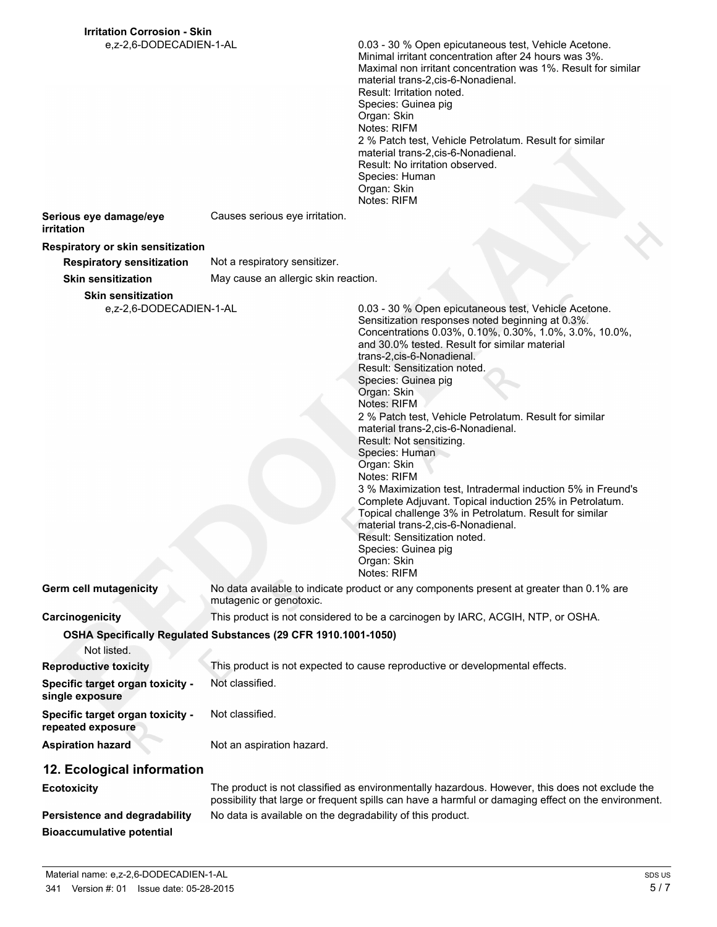0.03 - 30 % Open epicutaneous test, Vehicle Acetone. Minimal irritant concentration after 24 hours was 3%. Maximal non irritant concentration was 1%. Result for similar material trans-2,cis-6-Nonadienal. Result: Irritation noted. Species: Guinea pig Organ: Skin Notes: RIFM 2 % Patch test, Vehicle Petrolatum. Result for similar material trans-2,cis-6-Nonadienal. Result: No irritation observed. Species: Human Organ: Skin Notes: RIFM

**Serious eye damage/eye irritation**

#### **Respiratory or skin sensitization**

**Respiratory sensitization** Not a respiratory sensitizer.

**Skin sensitization** May cause an allergic skin reaction.

Causes serious eye irritation.

**Skin sensitization**

e,z-2,6-DODECADIEN-1-AL 0.03 - 30 % Open epicutaneous test, Vehicle Acetone.

Sensitization responses noted beginning at 0.3%. Concentrations 0.03%, 0.10%, 0.30%, 1.0%, 3.0%, 10.0%, and 30.0% tested. Result for similar material trans-2,cis-6-Nonadienal. Result: Sensitization noted. Species: Guinea pig Organ: Skin Notes: RIFM 2 % Patch test, Vehicle Petrolatum. Result for similar material trans-2,cis-6-Nonadienal. Result: Not sensitizing. Species: Human Organ: Skin Notes: RIFM 3 % Maximization test, Intradermal induction 5% in Freund's Complete Adjuvant. Topical induction 25% in Petrolatum. Topical challenge 3% in Petrolatum. Result for similar material trans-2,cis-6-Nonadienal. Result: Sensitization noted. Species: Guinea pig Organ: Skin Notes: RIFM

Not listed.

**Germ cell mutagenicity** No data available to indicate product or any components present at greater than 0.1% are mutagenic or genotoxic.

**Carcinogenicity** This product is not considered to be a carcinogen by IARC, ACGIH, NTP, or OSHA.

**OSHA Specifically Regulated Substances (29 CFR 1910.1001-1050)**

| .                                                          |                                                                              |
|------------------------------------------------------------|------------------------------------------------------------------------------|
| <b>Reproductive toxicity</b>                               | This product is not expected to cause reproductive or developmental effects. |
| <b>Specific target organ toxicity -</b><br>single exposure | Not classified.                                                              |
| Specific target organ toxicity -<br>repeated exposure      | Not classified.                                                              |
| <b>Aspiration hazard</b>                                   | Not an aspiration hazard.                                                    |

# **12. Ecological information**

| <b>Ecotoxicity</b>               | The product is not classified as environmentally hazardous. However, this does not exclude the<br>possibility that large or frequent spills can have a harmful or damaging effect on the environment. |
|----------------------------------|-------------------------------------------------------------------------------------------------------------------------------------------------------------------------------------------------------|
| Persistence and degradability    | No data is available on the degradability of this product.                                                                                                                                            |
| <b>Bioaccumulative potential</b> |                                                                                                                                                                                                       |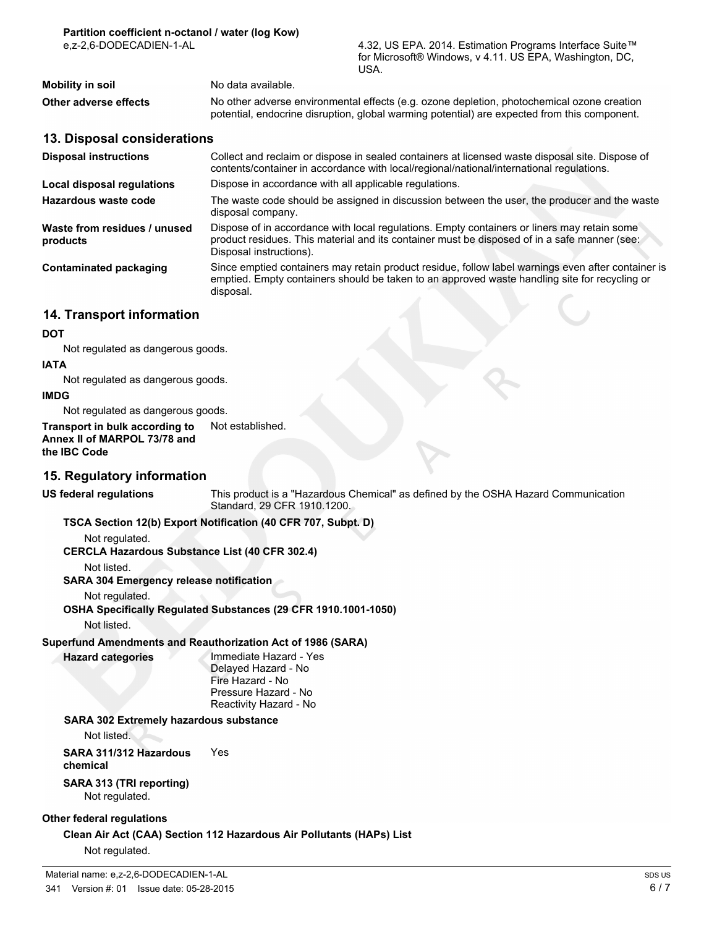| 4.32, US EPA. 2014. Estimation Programs Interface Suite™ |
|----------------------------------------------------------|
| for Microsoft® Windows, v 4.11. US EPA, Washington, DC,  |
| USA.                                                     |

| <b>Mobility in soil</b> | No data available.                                                                                                                                                                         |
|-------------------------|--------------------------------------------------------------------------------------------------------------------------------------------------------------------------------------------|
| Other adverse effects   | No other adverse environmental effects (e.g. ozone depletion, photochemical ozone creation<br>potential, endocrine disruption, global warming potential) are expected from this component. |

#### **13. Disposal considerations**

| <b>Disposal instructions</b>             | Collect and reclaim or dispose in sealed containers at licensed waste disposal site. Dispose of<br>contents/container in accordance with local/regional/national/international regulations.                            |  |
|------------------------------------------|------------------------------------------------------------------------------------------------------------------------------------------------------------------------------------------------------------------------|--|
| Local disposal regulations               | Dispose in accordance with all applicable regulations.                                                                                                                                                                 |  |
| Hazardous waste code                     | The waste code should be assigned in discussion between the user, the producer and the waste<br>disposal company.                                                                                                      |  |
| Waste from residues / unused<br>products | Dispose of in accordance with local regulations. Empty containers or liners may retain some<br>product residues. This material and its container must be disposed of in a safe manner (see:<br>Disposal instructions). |  |
| Contaminated packaging                   | Since emptied containers may retain product residue, follow label warnings even after container is<br>emptied. Empty containers should be taken to an approved waste handling site for recycling or<br>disposal.       |  |

# **14. Transport information**

#### **DOT**

Not regulated as dangerous goods.

#### **IATA**

Not regulated as dangerous goods.

#### **IMDG**

Not regulated as dangerous goods.

**Transport in bulk according to** Not established. **Annex II of MARPOL 73/78 and the IBC Code**

### **15. Regulatory information**

**US federal regulations** This product is a "Hazardous Chemical" as defined by the OSHA Hazard Communication Standard, 29 CFR 1910.1200.

#### **TSCA Section 12(b) Export Notification (40 CFR 707, Subpt. D)**

#### Not regulated.

**CERCLA Hazardous Substance List (40 CFR 302.4)**

Not listed.

**SARA 304 Emergency release notification**

Not regulated.

**OSHA Specifically Regulated Substances (29 CFR 1910.1001-1050)**

Not listed.

# **Superfund Amendments and Reauthorization Act of 1986 (SARA)**

**Hazard categories** Immediate Hazard - Yes Delayed Hazard - No Fire Hazard - No Pressure Hazard - No Reactivity Hazard - No

### **SARA 302 Extremely hazardous substance**

Not listed.

**SARA 311/312 Hazardous chemical** Yes

**SARA 313 (TRI reporting)** Not regulated.

### **Other federal regulations**

**Clean Air Act (CAA) Section 112 Hazardous Air Pollutants (HAPs) List**

Not regulated.